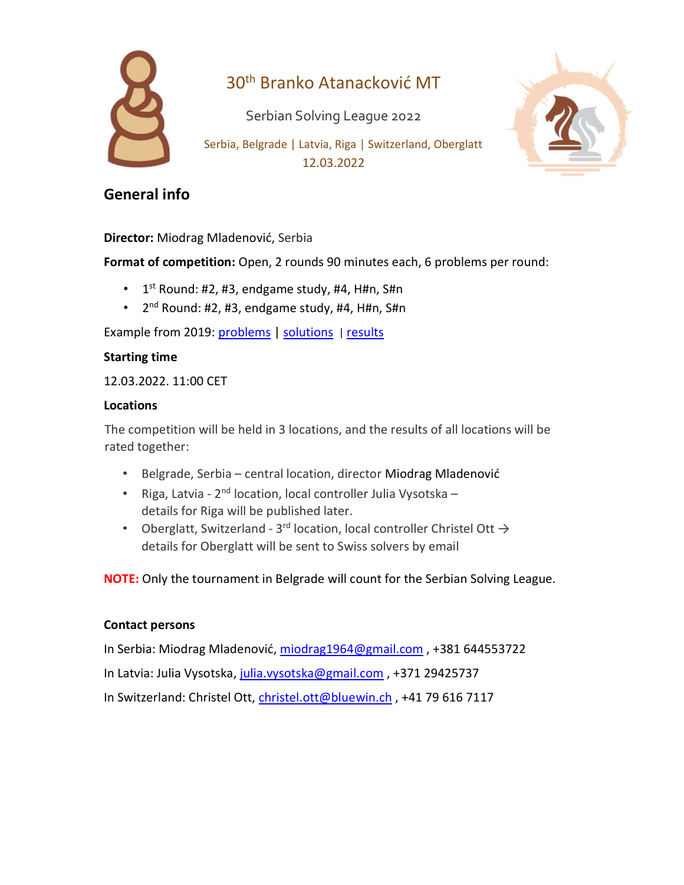

# 30th Branko Atanacković MT

Serbian Solving League 2022

Serbia, Belgrade | Latvia, Riga | Switzerland, Oberglatt 12.03.2022



# General info

Director: Miodrag Mladenović, Serbia

Format of competition: Open, 2 rounds 90 minutes each, 6 problems per round:

- $\cdot$  1<sup>st</sup> Round: #2, #3, endgame study, #4, H#n, S#n
- 2<sup>nd</sup> Round: #2, #3, endgame study, #4, H#n, S#n

Example from 2019: problems | solutions | results

### Starting time

12.03.2022. 11:00 CET

#### **Locations**

The competition will be held in 3 locations, and the results of all locations will be rated together:

- Belgrade, Serbia central location, director Miodrag Mladenović
- Riga, Latvia  $2<sup>nd</sup>$  location, local controller Julia Vysotska details for Riga will be published later.
- Oberglatt, Switzerland 3<sup>rd</sup> location, local controller Christel Ott  $\rightarrow$ details for Oberglatt will be sent to Swiss solvers by email

NOTE: Only the tournament in Belgrade will count for the Serbian Solving League.

## Contact persons

In Serbia: Miodrag Mladenović, miodrag1964@gmail.com , +381 644553722

In Latvia: Julia Vysotska, julia.vysotska@gmail.com, +371 29425737

In Switzerland: Christel Ott, christel.ott@bluewin.ch, +41 79 616 7117